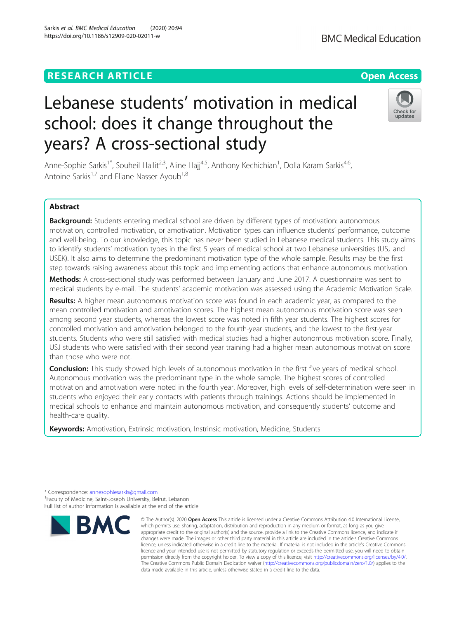# **RESEARCH ARTICLE Example 2014 12:30 The Contract of Contract ACCESS**

# Lebanese students' motivation in medical school: does it change throughout the years? A cross-sectional study

Anne-Sophie Sarkis<sup>1\*</sup>, Souheil Hallit<sup>2,3</sup>, Aline Hajj<sup>4,5</sup>, Anthony Kechichian<sup>1</sup>, Dolla Karam Sarkis<sup>4,6</sup>, Antoine Sarkis<sup>1,7</sup> and Eliane Nasser Ayoub<sup>1,8</sup>

# Abstract

**Background:** Students entering medical school are driven by different types of motivation: autonomous motivation, controlled motivation, or amotivation. Motivation types can influence students' performance, outcome and well-being. To our knowledge, this topic has never been studied in Lebanese medical students. This study aims to identify students' motivation types in the first 5 years of medical school at two Lebanese universities (USJ and USEK). It also aims to determine the predominant motivation type of the whole sample. Results may be the first step towards raising awareness about this topic and implementing actions that enhance autonomous motivation.

**Methods:** A cross-sectional study was performed between January and June 2017. A questionnaire was sent to medical students by e-mail. The students' academic motivation was assessed using the Academic Motivation Scale.

**Results:** A higher mean autonomous motivation score was found in each academic year, as compared to the mean controlled motivation and amotivation scores. The highest mean autonomous motivation score was seen among second year students, whereas the lowest score was noted in fifth year students. The highest scores for controlled motivation and amotivation belonged to the fourth-year students, and the lowest to the first-year students. Students who were still satisfied with medical studies had a higher autonomous motivation score. Finally, USJ students who were satisfied with their second year training had a higher mean autonomous motivation score than those who were not.

**Conclusion:** This study showed high levels of autonomous motivation in the first five years of medical school. Autonomous motivation was the predominant type in the whole sample. The highest scores of controlled motivation and amotivation were noted in the fourth year. Moreover, high levels of self-determination were seen in students who enjoyed their early contacts with patients through trainings. Actions should be implemented in medical schools to enhance and maintain autonomous motivation, and consequently students' outcome and health-care quality.

Keywords: Amotivation, Extrinsic motivation, Instrinsic motivation, Medicine, Students





undates

<sup>\*</sup> Correspondence: [annesophiesarkis@gmail.com](mailto:annesophiesarkis@gmail.com) <sup>1</sup> <sup>1</sup> Faculty of Medicine, Saint-Joseph University, Beirut, Lebanon Full list of author information is available at the end of the article

which permits use, sharing, adaptation, distribution and reproduction in any medium or format, as long as you give appropriate credit to the original author(s) and the source, provide a link to the Creative Commons licence, and indicate if changes were made. The images or other third party material in this article are included in the article's Creative Commons licence, unless indicated otherwise in a credit line to the material. If material is not included in the article's Creative Commons licence and your intended use is not permitted by statutory regulation or exceeds the permitted use, you will need to obtain permission directly from the copyright holder. To view a copy of this licence, visit [http://creativecommons.org/licenses/by/4.0/.](http://creativecommons.org/licenses/by/4.0/) The Creative Commons Public Domain Dedication waiver [\(http://creativecommons.org/publicdomain/zero/1.0/](http://creativecommons.org/publicdomain/zero/1.0/)) applies to the data made available in this article, unless otherwise stated in a credit line to the data.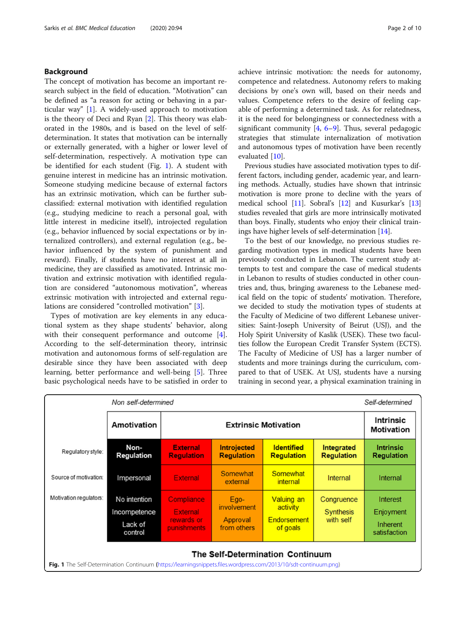# Background

The concept of motivation has become an important research subject in the field of education. "Motivation" can be defined as "a reason for acting or behaving in a particular way" [[1\]](#page-9-0). A widely-used approach to motivation is the theory of Deci and Ryan [[2](#page-9-0)]. This theory was elaborated in the 1980s, and is based on the level of selfdetermination. It states that motivation can be internally or externally generated, with a higher or lower level of self-determination, respectively. A motivation type can be identified for each student (Fig. 1). A student with genuine interest in medicine has an intrinsic motivation. Someone studying medicine because of external factors has an extrinsic motivation, which can be further subclassified: external motivation with identified regulation (e.g., studying medicine to reach a personal goal, with little interest in medicine itself), introjected regulation (e.g., behavior influenced by social expectations or by internalized controllers), and external regulation (e.g., behavior influenced by the system of punishment and reward). Finally, if students have no interest at all in medicine, they are classified as amotivated. Intrinsic motivation and extrinsic motivation with identified regulation are considered "autonomous motivation", whereas extrinsic motivation with introjected and external regulations are considered "controlled motivation" [\[3](#page-9-0)].

Types of motivation are key elements in any educational system as they shape students' behavior, along with their consequent performance and outcome [\[4](#page-9-0)]. According to the self-determination theory, intrinsic motivation and autonomous forms of self-regulation are desirable since they have been associated with deep learning, better performance and well-being [\[5](#page-9-0)]. Three basic psychological needs have to be satisfied in order to achieve intrinsic motivation: the needs for autonomy, competence and relatedness. Autonomy refers to making decisions by one's own will, based on their needs and values. Competence refers to the desire of feeling capable of performing a determined task. As for relatedness, it is the need for belongingness or connectedness with a significant community [[4,](#page-9-0) [6](#page-9-0)–[9](#page-9-0)]. Thus, several pedagogic strategies that stimulate internalization of motivation and autonomous types of motivation have been recently evaluated [\[10\]](#page-9-0).

Previous studies have associated motivation types to different factors, including gender, academic year, and learning methods. Actually, studies have shown that intrinsic motivation is more prone to decline with the years of medical school [[11\]](#page-9-0). Sobral's [[12](#page-9-0)] and Kusurkar's [[13](#page-9-0)] studies revealed that girls are more intrinsically motivated than boys. Finally, students who enjoy their clinical trainings have higher levels of self-determination [\[14\]](#page-9-0).

To the best of our knowledge, no previous studies regarding motivation types in medical students have been previously conducted in Lebanon. The current study attempts to test and compare the case of medical students in Lebanon to results of studies conducted in other countries and, thus, bringing awareness to the Lebanese medical field on the topic of students' motivation. Therefore, we decided to study the motivation types of students at the Faculty of Medicine of two different Lebanese universities: Saint-Joseph University of Beirut (USJ), and the Holy Spirit University of Kaslik (USEK). These two faculties follow the European Credit Transfer System (ECTS). The Faculty of Medicine of USJ has a larger number of students and more trainings during the curriculum, compared to that of USEK. At USJ, students have a nursing training in second year, a physical examination training in

| Non self-determined                                                                                                                                         |                                                    |                                                            |                                                       |                                                          |                                             | Self-determined                                   |
|-------------------------------------------------------------------------------------------------------------------------------------------------------------|----------------------------------------------------|------------------------------------------------------------|-------------------------------------------------------|----------------------------------------------------------|---------------------------------------------|---------------------------------------------------|
|                                                                                                                                                             | Amotivation                                        | <b>Extrinsic Motivation</b>                                |                                                       |                                                          |                                             | <b>Intrinsic</b><br><b>Motivation</b>             |
| Regulatory style:                                                                                                                                           | Non-<br>Regulation                                 | <b>External</b><br><b>Regulation</b>                       | <b>Introjected</b><br><b>Regulation</b>               | <b>Identified</b><br><b>Regulation</b>                   | Integrated<br><b>Regulation</b>             | <b>Intrinsic</b><br><b>Regulation</b>             |
| Source of motivation:                                                                                                                                       | Impersonal                                         | <b>External</b>                                            | Somewhat<br>external                                  | Somewhat<br>internal                                     | Internal                                    | Internal                                          |
| Motivation regulators:                                                                                                                                      | No intention<br>Incompetence<br>Lack of<br>control | Compliance<br><b>External</b><br>rewards or<br>punishments | Ego-<br><i>involvement</i><br>Approval<br>from others | Valuing an<br>activity<br><b>Endorsement</b><br>of goals | Congruence<br><b>Synthesis</b><br>with self | Interest<br>Enjoyment<br>Inherent<br>satisfaction |
| <b>The Self-Determination Continuum</b><br>Fig. 1 The Self-Determination Continuum (https://learningsnippets.files.wordpress.com/2013/10/sdt-continuum.png) |                                                    |                                                            |                                                       |                                                          |                                             |                                                   |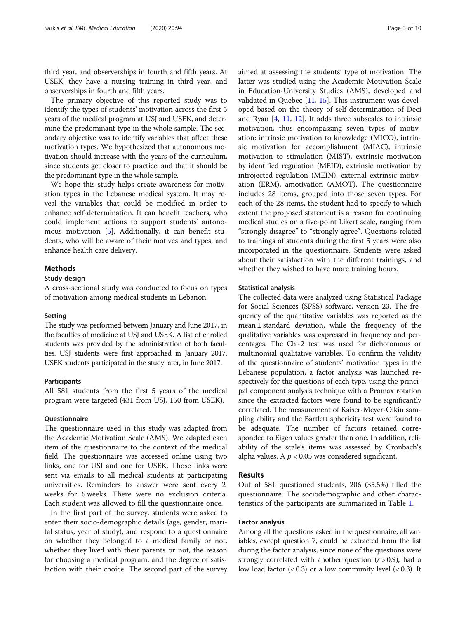third year, and observerships in fourth and fifth years. At USEK, they have a nursing training in third year, and observerships in fourth and fifth years.

The primary objective of this reported study was to identify the types of students' motivation across the first 5 years of the medical program at USJ and USEK, and determine the predominant type in the whole sample. The secondary objective was to identify variables that affect these motivation types. We hypothesized that autonomous motivation should increase with the years of the curriculum, since students get closer to practice, and that it should be the predominant type in the whole sample.

We hope this study helps create awareness for motivation types in the Lebanese medical system. It may reveal the variables that could be modified in order to enhance self-determination. It can benefit teachers, who could implement actions to support students' autonomous motivation [\[5](#page-9-0)]. Additionally, it can benefit students, who will be aware of their motives and types, and enhance health care delivery.

# Methods

### Study design

A cross-sectional study was conducted to focus on types of motivation among medical students in Lebanon.

#### Setting

The study was performed between January and June 2017, in the faculties of medicine at USJ and USEK. A list of enrolled students was provided by the administration of both faculties. USJ students were first approached in January 2017. USEK students participated in the study later, in June 2017.

# Participants

All 581 students from the first 5 years of the medical program were targeted (431 from USJ, 150 from USEK).

# **Questionnaire**

The questionnaire used in this study was adapted from the Academic Motivation Scale (AMS). We adapted each item of the questionnaire to the context of the medical field. The questionnaire was accessed online using two links, one for USJ and one for USEK. Those links were sent via emails to all medical students at participating universities. Reminders to answer were sent every 2 weeks for 6 weeks. There were no exclusion criteria. Each student was allowed to fill the questionnaire once.

In the first part of the survey, students were asked to enter their socio-demographic details (age, gender, marital status, year of study), and respond to a questionnaire on whether they belonged to a medical family or not, whether they lived with their parents or not, the reason for choosing a medical program, and the degree of satisfaction with their choice. The second part of the survey aimed at assessing the students' type of motivation. The latter was studied using the Academic Motivation Scale in Education-University Studies (AMS), developed and validated in Quebec [[11,](#page-9-0) [15\]](#page-9-0). This instrument was developed based on the theory of self-determination of Deci and Ryan [\[4](#page-9-0), [11,](#page-9-0) [12](#page-9-0)]. It adds three subscales to intrinsic motivation, thus encompassing seven types of motivation: intrinsic motivation to knowledge (MICO), intrinsic motivation for accomplishment (MIAC), intrinsic motivation to stimulation (MIST), extrinsic motivation by identified regulation (MEID), extrinsic motivation by introjected regulation (MEIN), external extrinsic motivation (ERM), amotivation (AMOT). The questionnaire includes 28 items, grouped into those seven types. For each of the 28 items, the student had to specify to which extent the proposed statement is a reason for continuing medical studies on a five-point Likert scale, ranging from "strongly disagree" to "strongly agree". Questions related to trainings of students during the first 5 years were also incorporated in the questionnaire. Students were asked about their satisfaction with the different trainings, and whether they wished to have more training hours.

#### Statistical analysis

The collected data were analyzed using Statistical Package for Social Sciences (SPSS) software, version 23. The frequency of the quantitative variables was reported as the mean ± standard deviation, while the frequency of the qualitative variables was expressed in frequency and percentages. The Chi-2 test was used for dichotomous or multinomial qualitative variables. To confirm the validity of the questionnaire of students' motivation types in the Lebanese population, a factor analysis was launched respectively for the questions of each type, using the principal component analysis technique with a Promax rotation since the extracted factors were found to be significantly correlated. The measurement of Kaiser-Meyer-Olkin sampling ability and the Bartlett sphericity test were found to be adequate. The number of factors retained corresponded to Eigen values greater than one. In addition, reliability of the scale's items was assessed by Cronbach's alpha values. A  $p < 0.05$  was considered significant.

#### Results

Out of 581 questioned students, 206 (35.5%) filled the questionnaire. The sociodemographic and other characteristics of the participants are summarized in Table [1.](#page-3-0)

### Factor analysis

Among all the questions asked in the questionnaire, all variables, except question 7, could be extracted from the list during the factor analysis, since none of the questions were strongly correlated with another question  $(r > 0.9)$ , had a low load factor  $( $0.3$ )$  or a low community level  $( $0.3$ ). It$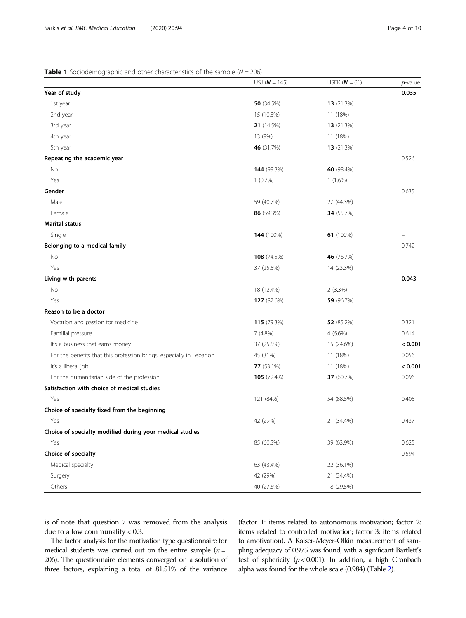# <span id="page-3-0"></span>**Table 1** Sociodemographic and other characteristics of the sample ( $N = 206$ )

|                                                                     | USJ $(N = 145)$ | USEK $(N = 61)$     | $p$ -value |
|---------------------------------------------------------------------|-----------------|---------------------|------------|
| Year of study                                                       |                 |                     | 0.035      |
| 1st year                                                            | 50 (34.5%)      | 13 (21.3%)          |            |
| 2nd year                                                            | 15 (10.3%)      | 11 (18%)            |            |
| 3rd year                                                            | 21(14.5%)       | 13 (21.3%)          |            |
| 4th year                                                            | 13 (9%)         | 11 (18%)            |            |
| 5th year                                                            | 46 (31.7%)      | <b>13</b> $(21.3%)$ |            |
| Repeating the academic year                                         |                 |                     | 0.526      |
| No                                                                  | 144 (99.3%)     | 60 (98.4%)          |            |
| Yes                                                                 | 1(0.7%)         | $1(1.6\%)$          |            |
| Gender                                                              |                 |                     | 0.635      |
| Male                                                                | 59 (40.7%)      | 27 (44.3%)          |            |
| Female                                                              | 86 (59.3%)      | 34 (55.7%)          |            |
| <b>Marital status</b>                                               |                 |                     |            |
| Single                                                              | 144 (100%)      | 61 (100%)           |            |
| Belonging to a medical family                                       |                 |                     | 0.742      |
| No                                                                  | 108 (74.5%)     | 46 (76.7%)          |            |
| Yes                                                                 | 37 (25.5%)      | 14 (23.3%)          |            |
| Living with parents                                                 |                 |                     | 0.043      |
| No                                                                  | 18 (12.4%)      | $2(3.3\%)$          |            |
| Yes                                                                 | 127 (87.6%)     | 59 (96.7%)          |            |
| Reason to be a doctor                                               |                 |                     |            |
| Vocation and passion for medicine                                   | 115 (79.3%)     | 52 (85.2%)          | 0.321      |
| Familial pressure                                                   | 7(4.8%)         | $4(6.6\%)$          | 0.614      |
| It's a business that earns money                                    | 37 (25.5%)      | 15 (24.6%)          | < 0.001    |
| For the benefits that this profession brings, especially in Lebanon | 45 (31%)        | 11 (18%)            | 0.056      |
| It's a liberal job                                                  | 77 (53.1%)      | 11 (18%)            | < 0.001    |
| For the humanitarian side of the profession                         | 105 (72.4%)     | 37 (60.7%)          | 0.096      |
| Satisfaction with choice of medical studies                         |                 |                     |            |
| Yes                                                                 | 121 (84%)       | 54 (88.5%)          | 0.405      |
| Choice of specialty fixed from the beginning                        |                 |                     |            |
| Yes                                                                 | 42 (29%)        | 21 (34.4%)          | 0.437      |
| Choice of specialty modified during your medical studies            |                 |                     |            |
| Yes                                                                 | 85 (60.3%)      | 39 (63.9%)          | 0.625      |
| Choice of specialty                                                 |                 |                     | 0.594      |
| Medical specialty                                                   | 63 (43.4%)      | 22 (36.1%)          |            |
| Surgery                                                             | 42 (29%)        | 21 (34.4%)          |            |
| Others                                                              | 40 (27.6%)      | 18 (29.5%)          |            |

is of note that question 7 was removed from the analysis due to a low communality < 0.3.

The factor analysis for the motivation type questionnaire for medical students was carried out on the entire sample  $(n =$ 206). The questionnaire elements converged on a solution of three factors, explaining a total of 81.51% of the variance

(factor 1: items related to autonomous motivation; factor 2: items related to controlled motivation; factor 3: items related to amotivation). A Kaiser-Meyer-Olkin measurement of sampling adequacy of 0.975 was found, with a significant Bartlett's test of sphericity  $(p < 0.001)$ . In addition, a high Cronbach alpha was found for the whole scale (0.984) (Table [2](#page-4-0)).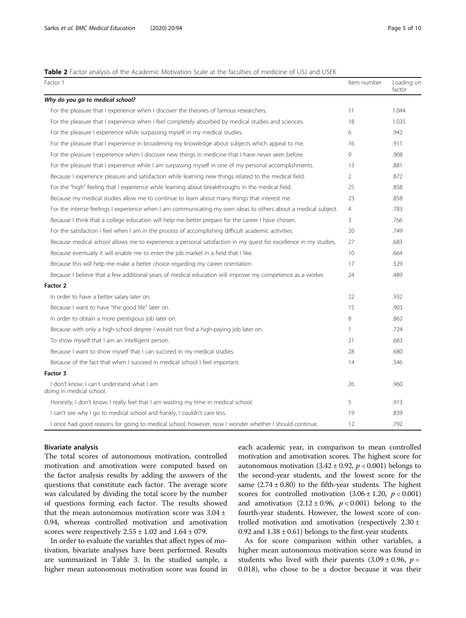# <span id="page-4-0"></span>Table 2 Factor analysis of the Academic Motivation Scale at the faculties of medicine of USJ and USEK

| Factor 1                                                                                                         | Item number       | Loading on<br>factor |
|------------------------------------------------------------------------------------------------------------------|-------------------|----------------------|
| Why do you go to medical school?                                                                                 |                   |                      |
| For the pleasure that I experience when I discover the theories of famous researchers.                           | 11                | 1.044                |
| For the pleasure that I experience when I feel completely absorbed by medical studies and sciences.              | 18                | 1.035                |
| For the pleasure I experience while surpassing myself in my medical studies.                                     | 6                 | .942                 |
| For the pleasure that I experience in broadening my knowledge about subjects which appeal to me.                 | 16                | .911                 |
| For the pleasure I experience when I discover new things in medicine that I have never seen before.              | 9                 | .908                 |
| For the pleasure that I experience while I am surpassing myself in one of my personal accomplishments.           | 13                | .881                 |
| Because I experience pleasure and satisfaction while learning new things related to the medical field.           | 2                 | .872                 |
| For the "high" feeling that I experience while learning about breakthroughs in the medical field.                | 25                | .858                 |
| Because my medical studies allow me to continue to learn about many things that interest me.                     | 23                | .858                 |
| For the intense feelings I experience when I am communicating my own ideas to others about a medical subject.    | $\overline{4}$    | .783                 |
| Because I think that a college education will help me better prepare for the career I have chosen.               | 3                 | .766                 |
| For the satisfaction I feel when I am in the process of accomplishing difficult academic activities.             | 20                | .749                 |
| Because medical school allows me to experience a personal satisfaction in my quest for excellence in my studies. | 27                | .683                 |
| Because eventually it will enable me to enter the job market in a field that I like.                             | 10                | .664                 |
| Because this will help me make a better choice regarding my career orientation.                                  | 17                | .529                 |
| Because I believe that a few additional years of medical education will improve my competence as a worker.       | 24                | .489                 |
| Factor 2                                                                                                         |                   |                      |
| In order to have a better salary later on.                                                                       | 22                | .932                 |
| Because I want to have "the good life" later on.                                                                 | 15                | .903                 |
| In order to obtain a more prestigious job later on.                                                              | 8                 | .862                 |
| Because with only a high-school degree I would not find a high-paying job later on.                              | 1                 | .724                 |
| To show myself that I am an intelligent person.                                                                  | 21                | .683                 |
| Because I want to show myself that I can succeed in my medical studies.                                          | 28                | .680                 |
| Because of the fact that when I succeed in medical school I feel important.                                      | 14                | .546                 |
| Factor 3                                                                                                         |                   |                      |
| I don't know; I can't understand what I am<br>doing in medical school.                                           | 26                | .960                 |
| Honestly, I don't know; I really feel that I am wasting my time in medical school.                               | 5                 | .913                 |
| I can't see why I go to medical school and frankly, I couldn't care less.                                        | 19                | .839                 |
| I once had good reasons for going to medical school; however, now I wonder whether I should continue.            | $12 \overline{ }$ | .792                 |

## Bivariate analysis

The total scores of autonomous motivation, controlled motivation and amotivation were computed based on the factor analysis results by adding the answers of the questions that constitute each factor. The average score was calculated by dividing the total score by the number of questions forming each factor. The results showed that the mean autonomous motivation score was  $3.04 \pm$ 0.94, whereas controlled motivation and amotivation scores were respectively  $2.55 \pm 1.02$  and  $1.64 \pm 079$ .

In order to evaluate the variables that affect types of motivation, bivariate analyses have been performed. Results are summarized in Table [3.](#page-5-0) In the studied sample, a higher mean autonomous motivation score was found in each academic year, in comparison to mean controlled motivation and amotivation scores. The highest score for autonomous motivation  $(3.42 \pm 0.92, p < 0.001)$  belongs to the second-year students, and the lowest score for the same  $(2.74 \pm 0.80)$  to the fifth-year students. The highest scores for controlled motivation  $(3.06 \pm 1.20, p < 0.001)$ and amotivation  $(2.12 \pm 0.96, p < 0.001)$  belong to the fourth-year students. However, the lowest score of controlled motivation and amotivation (respectively  $2.30 \pm$ 0.92 and  $1.38 \pm 0.61$ ) belongs to the first-year students.

As for score comparison within other variables, a higher mean autonomous motivation score was found in students who lived with their parents  $(3.09 \pm 0.96, p =$ 0.018), who chose to be a doctor because it was their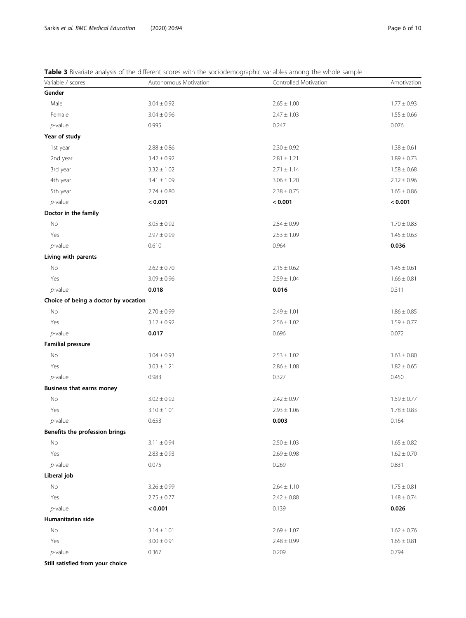# <span id="page-5-0"></span>Table 3 Bivariate analysis of the different scores with the sociodemographic variables among the whole sample

| Variable / scores                    | Autonomous Motivation | Controlled Motivation | Amotivation     |
|--------------------------------------|-----------------------|-----------------------|-----------------|
| Gender                               |                       |                       |                 |
| Male                                 | $3.04 \pm 0.92$       | $2.65 \pm 1.00$       | $1.77 \pm 0.93$ |
| Female                               | $3.04 \pm 0.96$       | $2.47 \pm 1.03$       | $1.55 \pm 0.66$ |
| $p$ -value                           | 0.995                 | 0.247                 | 0.076           |
| Year of study                        |                       |                       |                 |
| 1st year                             | $2.88 \pm 0.86$       | $2.30 \pm 0.92$       | $1.38 \pm 0.61$ |
| 2nd year                             | $3.42 \pm 0.92$       | $2.81 \pm 1.21$       | $1.89 \pm 0.73$ |
| 3rd year                             | $3.32 \pm 1.02$       | $2.71 \pm 1.14$       | $1.58 \pm 0.68$ |
| 4th year                             | $3.41 \pm 1.09$       | $3.06 \pm 1.20$       | $2.12 \pm 0.96$ |
| 5th year                             | $2.74 \pm 0.80$       | $2.38 \pm 0.75$       | $1.65 \pm 0.86$ |
| $p$ -value                           | < 0.001               | < 0.001               | < 0.001         |
| Doctor in the family                 |                       |                       |                 |
| No                                   | $3.05 \pm 0.92$       | $2.54 \pm 0.99$       | $1.70 \pm 0.83$ |
| Yes                                  | $2.97 \pm 0.99$       | $2.53 \pm 1.09$       | $1.45 \pm 0.63$ |
| $p$ -value                           | 0.610                 | 0.964                 | 0.036           |
| Living with parents                  |                       |                       |                 |
| No                                   | $2.62 \pm 0.70$       | $2.15 \pm 0.62$       | $1.45 \pm 0.61$ |
| Yes                                  | $3.09 \pm 0.96$       | $2.59 \pm 1.04$       | $1.66 \pm 0.81$ |
| $p$ -value                           | 0.018                 | 0.016                 | 0.311           |
| Choice of being a doctor by vocation |                       |                       |                 |
| No                                   | $2.70 \pm 0.99$       | $2.49 \pm 1.01$       | $1.86 \pm 0.85$ |
| Yes                                  | $3.12 \pm 0.92$       | $2.56 \pm 1.02$       | $1.59 \pm 0.77$ |
| $p$ -value                           | 0.017                 | 0.696                 | 0.072           |
| <b>Familial pressure</b>             |                       |                       |                 |
| No                                   | $3.04 \pm 0.93$       | $2.53 \pm 1.02$       | $1.63 \pm 0.80$ |
| Yes                                  | $3.03 \pm 1.21$       | $2.86 \pm 1.08$       | $1.82 \pm 0.65$ |
| $p$ -value                           | 0.983                 | 0.327                 | 0.450           |
| <b>Business that earns money</b>     |                       |                       |                 |
| No                                   | $3.02 \pm 0.92$       | $2.42 \pm 0.97$       | $1.59 \pm 0.77$ |
| Yes                                  | $3.10 \pm 1.01$       | $2.93 \pm 1.06$       | $1.78 \pm 0.83$ |
| $p$ -value                           | 0.653                 | 0.003                 | 0.164           |
| Benefits the profession brings       |                       |                       |                 |
| No                                   | $3.11 \pm 0.94$       | $2.50 \pm 1.03$       | $1.65 \pm 0.82$ |
| Yes                                  | $2.83 \pm 0.93$       | $2.69 \pm 0.98$       | $1.62 \pm 0.70$ |
| $p$ -value                           | 0.075                 | 0.269                 | 0.831           |
| Liberal job                          |                       |                       |                 |
| No                                   | $3.26 \pm 0.99$       | $2.64 \pm 1.10$       | $1.75 \pm 0.81$ |
| Yes                                  | $2.75 \pm 0.77$       | $2.42 \pm 0.88$       | $1.48 \pm 0.74$ |
| $p$ -value                           | < 0.001               | 0.139                 | 0.026           |
| Humanitarian side                    |                       |                       |                 |
| No                                   | $3.14 \pm 1.01$       | $2.69 \pm 1.07$       | $1.62 \pm 0.76$ |
| Yes                                  | $3.00 \pm 0.91$       | $2.48 \pm 0.99$       | $1.65 \pm 0.81$ |
| p-value                              | 0.367                 | 0.209                 | 0.794           |
|                                      |                       |                       |                 |

Still satisfied from your choice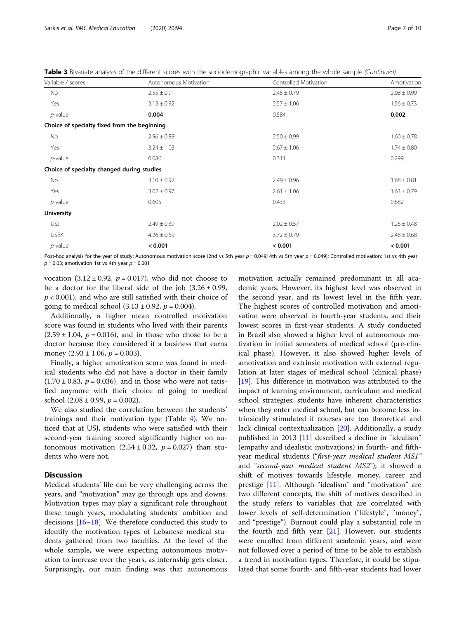Table 3 Bivariate analysis of the different scores with the sociodemographic variables among the whole sample (Continued)

| Variable / scores                            | Autonomous Motivation | Controlled Motivation | Amotivation     |  |
|----------------------------------------------|-----------------------|-----------------------|-----------------|--|
| No                                           | $2.55 \pm 0.91$       | $2.45 \pm 0.79$       | $2.08 \pm 0.99$ |  |
| Yes                                          | $3.13 \pm 0.92$       | $2.57 \pm 1.06$       | $1.56 \pm 0.73$ |  |
| $p$ -value                                   | 0.004                 | 0.584                 | 0.002           |  |
| Choice of specialty fixed from the beginning |                       |                       |                 |  |
| No                                           | $2.96 \pm 0.89$       | $2.50 \pm 0.99$       | $1.60 \pm 0.78$ |  |
| Yes                                          | $3.24 \pm 1.03$       | $2.67 \pm 1.06$       | $1.74 \pm 0.80$ |  |
| $p$ -value                                   | 0.086                 | 0.311                 | 0.299           |  |
| Choice of specialty changed during studies   |                       |                       |                 |  |
| No                                           | $3.10 \pm 0.92$       | $2.49 \pm 0.96$       | $1.68 \pm 0.81$ |  |
| Yes                                          | $3.02 \pm 0.97$       | $2.61 \pm 1.06$       | $1.63 \pm 0.79$ |  |
| $p$ -value                                   | 0.605                 | 0.433                 | 0.682           |  |
| <b>University</b>                            |                       |                       |                 |  |
| USJ                                          | $2.49 \pm 0.39$       | $2.02 \pm 0.57$       | $1.26 \pm 0.48$ |  |
| <b>USEK</b>                                  | $4.26 \pm 0.59$       | $3.72 \pm 0.79$       | $2.48 \pm 0.68$ |  |
| $p$ -value                                   | < 0.001               | < 0.001               | < 0.001         |  |

Post-hoc analysis for the year of study: Autonomous motivation score (2nd vs 5th year  $p = 0.049$ ; 4th year  $p = 0.049$ ; Controlled motivation: 1st vs 4th year  $p = 0.03$ ; amotivation 1st vs 4th year  $p = 0.001$ 

vocation  $(3.12 \pm 0.92, p = 0.017)$ , who did not choose to be a doctor for the liberal side of the job  $(3.26 \pm 0.99,$  $p < 0.001$ ), and who are still satisfied with their choice of going to medical school  $(3.13 \pm 0.92, p = 0.004)$ .

Additionally, a higher mean controlled motivation score was found in students who lived with their parents  $(2.59 \pm 1.04, p = 0.016)$ , and in those who chose to be a doctor because they considered it a business that earns money  $(2.93 \pm 1.06, p = 0.003)$ .

Finally, a higher amotivation score was found in medical students who did not have a doctor in their family  $(1.70 \pm 0.83, p = 0.036)$ , and in those who were not satisfied anymore with their choice of going to medical school (2.08 ± 0.99,  $p = 0.002$ ).

We also studied the correlation between the students' trainings and their motivation type (Table [4](#page-7-0)). We noticed that at USJ, students who were satisfied with their second-year training scored significantly higher on autonomous motivation  $(2.54 \pm 0.32, p = 0.027)$  than students who were not.

# Discussion

Medical students' life can be very challenging across the years, and "motivation" may go through ups and downs. Motivation types may play a significant role throughout these tough years, modulating students' ambition and decisions [\[16](#page-9-0)–[18](#page-9-0)]. We therefore conducted this study to identify the motivation types of Lebanese medical students gathered from two faculties. At the level of the whole sample, we were expecting autonomous motivation to increase over the years, as internship gets closer. Surprisingly, our main finding was that autonomous motivation actually remained predominant in all academic years. However, its highest level was observed in the second year, and its lowest level in the fifth year. The highest scores of controlled motivation and amotivation were observed in fourth-year students, and their lowest scores in first-year students. A study conducted in Brazil also showed a higher level of autonomous motivation in initial semesters of medical school (pre-clinical phase). However, it also showed higher levels of amotivation and extrinsic motivation with external regulation at later stages of medical school (clinical phase) [[19\]](#page-9-0). This difference in motivation was attributed to the impact of learning environment, curriculum and medical school strategies: students have inherent characteristics when they enter medical school, but can become less intrinsically stimulated if courses are too theoretical and lack clinical contextualization [\[20\]](#page-9-0). Additionally, a study published in 2013 [\[11\]](#page-9-0) described a decline in "idealism" (empathy and idealistic motivations) in fourth- and fifthyear medical students ("first-year medical student MS1" and "second-year medical student MS2"); it showed a shift of motives towards lifestyle, money, career and prestige [\[11\]](#page-9-0). Although "idealism" and "motivation" are two different concepts, the shift of motives described in the study refers to variables that are correlated with lower levels of self-determination ("lifestyle", "money", and "prestige"). Burnout could play a substantial role in the fourth and fifth year  $[21]$  $[21]$ . However, our students were enrolled from different academic years, and were not followed over a period of time to be able to establish a trend in motivation types. Therefore, it could be stipulated that some fourth- and fifth-year students had lower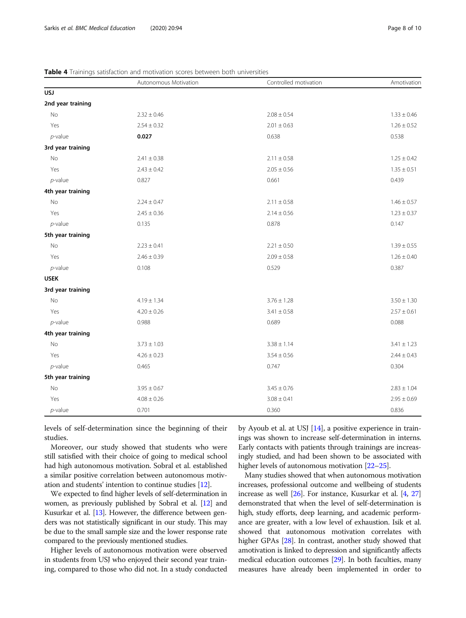|                   | Autonomous Motivation | Controlled motivation | Amotivation     |
|-------------------|-----------------------|-----------------------|-----------------|
| <b>USJ</b>        |                       |                       |                 |
| 2nd year training |                       |                       |                 |
| No                | $2.32 \pm 0.46$       | $2.08 \pm 0.54$       | $1.33 \pm 0.46$ |
| Yes               | $2.54 \pm 0.32$       | $2.01 \pm 0.63$       | $1.26 \pm 0.52$ |
| $p$ -value        | 0.027                 | 0.638                 | 0.538           |
| 3rd year training |                       |                       |                 |
| No                | $2.41 \pm 0.38$       | $2.11 \pm 0.58$       | $1.25 \pm 0.42$ |
| Yes               | $2.43 \pm 0.42$       | $2.05 \pm 0.56$       | $1.35 \pm 0.51$ |
| $p$ -value        | 0.827                 | 0.661                 | 0.439           |
| 4th year training |                       |                       |                 |
| No                | $2.24 \pm 0.47$       | $2.11 \pm 0.58$       | $1.46 \pm 0.57$ |
| Yes               | $2.45 \pm 0.36$       | $2.14 \pm 0.56$       | $1.23 \pm 0.37$ |
| $p$ -value        | 0.135                 | 0.878                 | 0.147           |
| 5th year training |                       |                       |                 |
| No                | $2.23 \pm 0.41$       | $2.21\pm0.50$         | $1.39 \pm 0.55$ |
| Yes               | $2.46 \pm 0.39$       | $2.09 \pm 0.58$       | $1.26 \pm 0.40$ |
| $p$ -value        | 0.108                 | 0.529                 | 0.387           |
| <b>USEK</b>       |                       |                       |                 |
| 3rd year training |                       |                       |                 |
| <b>No</b>         | $4.19 \pm 1.34$       | $3.76 \pm 1.28$       | $3.50 \pm 1.30$ |
| Yes               | $4.20 \pm 0.26$       | $3.41 \pm 0.58$       | $2.57 \pm 0.61$ |
| $p$ -value        | 0.988                 | 0.689                 | 0.088           |
| 4th year training |                       |                       |                 |
| No                | $3.73 \pm 1.03$       | $3.38 \pm 1.14$       | $3.41 \pm 1.23$ |
| Yes               | $4.26 \pm 0.23$       | $3.54 \pm 0.56$       | $2.44 \pm 0.43$ |
| $p$ -value        | 0.465                 | 0.747                 | 0.304           |
| 5th year training |                       |                       |                 |
| No                | $3.95 \pm 0.67$       | $3.45 \pm 0.76$       | $2.83 \pm 1.04$ |
| Yes               | $4.08 \pm 0.26$       | $3.08 \pm 0.41$       | $2.95 \pm 0.69$ |
| $p$ -value        | 0.701                 | 0.360                 | 0.836           |

<span id="page-7-0"></span>

|  |  |  |  | <b>Table 4</b> Trainings satisfaction and motivation scores between both universities |
|--|--|--|--|---------------------------------------------------------------------------------------|
|  |  |  |  |                                                                                       |

levels of self-determination since the beginning of their studies.

Moreover, our study showed that students who were still satisfied with their choice of going to medical school had high autonomous motivation. Sobral et al. established a similar positive correlation between autonomous motivation and students' intention to continue studies [[12](#page-9-0)].

We expected to find higher levels of self-determination in women, as previously published by Sobral et al. [\[12\]](#page-9-0) and Kusurkar et al. [[13](#page-9-0)]. However, the difference between genders was not statistically significant in our study. This may be due to the small sample size and the lower response rate compared to the previously mentioned studies.

Higher levels of autonomous motivation were observed in students from USJ who enjoyed their second year training, compared to those who did not. In a study conducted by Ayoub et al. at USJ [[14](#page-9-0)], a positive experience in trainings was shown to increase self-determination in interns. Early contacts with patients through trainings are increasingly studied, and had been shown to be associated with higher levels of autonomous motivation [\[22](#page-9-0)–[25](#page-9-0)].

Many studies showed that when autonomous motivation increases, professional outcome and wellbeing of students increase as well [[26](#page-9-0)]. For instance, Kusurkar et al. [\[4](#page-9-0), [27](#page-9-0)] demonstrated that when the level of self-determination is high, study efforts, deep learning, and academic performance are greater, with a low level of exhaustion. Isik et al. showed that autonomous motivation correlates with higher GPAs [\[28\]](#page-9-0). In contrast, another study showed that amotivation is linked to depression and significantly affects medical education outcomes [[29](#page-9-0)]. In both faculties, many measures have already been implemented in order to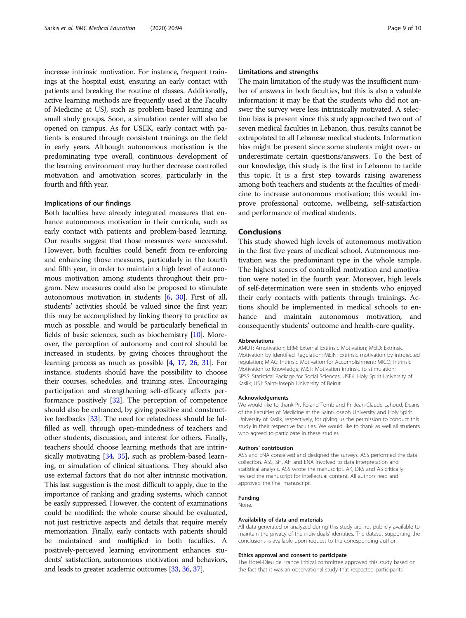increase intrinsic motivation. For instance, frequent trainings at the hospital exist, ensuring an early contact with patients and breaking the routine of classes. Additionally, active learning methods are frequently used at the Faculty of Medicine at USJ, such as problem-based learning and small study groups. Soon, a simulation center will also be opened on campus. As for USEK, early contact with patients is ensured through consistent trainings on the field in early years. Although autonomous motivation is the predominating type overall, continuous development of the learning environment may further decrease controlled motivation and amotivation scores, particularly in the fourth and fifth year.

#### Implications of our findings

Both faculties have already integrated measures that enhance autonomous motivation in their curricula, such as early contact with patients and problem-based learning. Our results suggest that those measures were successful. However, both faculties could benefit from re-enforcing and enhancing those measures, particularly in the fourth and fifth year, in order to maintain a high level of autonomous motivation among students throughout their program. New measures could also be proposed to stimulate autonomous motivation in students [\[6,](#page-9-0) [30](#page-9-0)]. First of all, students' activities should be valued since the first year; this may be accomplished by linking theory to practice as much as possible, and would be particularly beneficial in fields of basic sciences, such as biochemistry [[10](#page-9-0)]. Moreover, the perception of autonomy and control should be increased in students, by giving choices throughout the learning process as much as possible [\[4,](#page-9-0) [17,](#page-9-0) [26](#page-9-0), [31\]](#page-9-0). For instance, students should have the possibility to choose their courses, schedules, and training sites. Encouraging participation and strengthening self-efficacy affects performance positively [[32](#page-9-0)]. The perception of competence should also be enhanced, by giving positive and constructive feedbacks [\[33\]](#page-9-0). The need for relatedness should be fulfilled as well, through open-mindedness of teachers and other students, discussion, and interest for others. Finally, teachers should choose learning methods that are intrin-sically motivating [[34](#page-9-0), [35\]](#page-9-0), such as problem-based learning, or simulation of clinical situations. They should also use external factors that do not alter intrinsic motivation. This last suggestion is the most difficult to apply, due to the importance of ranking and grading systems, which cannot be easily suppressed. However, the content of examinations could be modified: the whole course should be evaluated, not just restrictive aspects and details that require merely memorization. Finally, early contacts with patients should be maintained and multiplied in both faculties. A positively-perceived learning environment enhances students' satisfaction, autonomous motivation and behaviors, and leads to greater academic outcomes [\[33](#page-9-0), [36](#page-9-0), [37](#page-9-0)].

### Limitations and strengths

The main limitation of the study was the insufficient number of answers in both faculties, but this is also a valuable information: it may be that the students who did not answer the survey were less intrinsically motivated. A selection bias is present since this study approached two out of seven medical faculties in Lebanon, thus, results cannot be extrapolated to all Lebanese medical students. Information bias might be present since some students might over- or underestimate certain questions/answers. To the best of our knowledge, this study is the first in Lebanon to tackle this topic. It is a first step towards raising awareness among both teachers and students at the faculties of medicine to increase autonomous motivation; this would improve professional outcome, wellbeing, self-satisfaction and performance of medical students.

#### Conclusions

This study showed high levels of autonomous motivation in the first five years of medical school. Autonomous motivation was the predominant type in the whole sample. The highest scores of controlled motivation and amotivation were noted in the fourth year. Moreover, high levels of self-determination were seen in students who enjoyed their early contacts with patients through trainings. Actions should be implemented in medical schools to enhance and maintain autonomous motivation, and consequently students' outcome and health-care quality.

#### Abbreviations

AMOT: Amotivation; ERM: External Extrinsic Motivation; MEID: Extrinsic Motivation by Identified Regulation; MEIN: Extrinsic motivation by introjected regulation; MIAC: Intrinsic Motivation for Accomplishment; MICO: Intrinsic Motivation to Knowledge; MIST: Motivation intrinsic to stimulation; SPSS: Statistical Package for Social Sciences; USEK: Holy Spirit University of Kaslik; USJ: Saint-Joseph University of Beirut

#### Acknowledgements

We would like to thank Pr. Roland Tomb and Pr. Jean-Claude Lahoud, Deans of the Faculties of Medicine at the Saint-Joseph University and Holy Spirit University of Kaslik, respectively, for giving us the permission to conduct this study in their respective faculties. We would like to thank as well all students who agreed to participate in these studies.

#### Authors' contribution

ASS and ENA conceived and designed the surveys. ASS performed the data collection. ASS, SH, AH and ENA involved to data interpretation and statistical analysis. ASS wrote the manuscript. AK, DKS and AS critically revised the manuscript for intellectual content. All authors read and approved the final manuscript.

#### Funding

None.

#### Availability of data and materials

All data generated or analyzed during this study are not publicly available to maintain the privacy of the individuals' identities. The dataset supporting the conclusions is available upon request to the corresponding author.

#### Ethics approval and consent to participate

The Hotel-Dieu de France Ethical committee approved this study based on the fact that it was an observational study that respected participants'